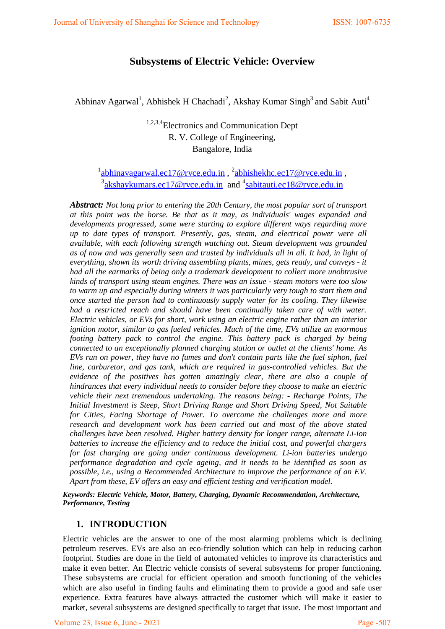## **Subsystems of Electric Vehicle: Overview**

Abhinav Agarwal<sup>1</sup>, Abhishek H Chachadi<sup>2</sup>, Akshay Kumar Singh<sup>3</sup> and Sabit Auti<sup>4</sup>

# 1,2,3,4Electronics and Communication Dept R. V. College of Engineering, Bangalore, India

<sup>1</sup>abhinavagarwal.ec17@rvce.edu.in, <sup>2</sup>abhishekhc.ec17@rvce.edu.in, <sup>[3](mailto:abhinavagarwal.ec17@rvce.edu.in)</sup>[akshaykumars.ec17@rvce.edu.in](mailto:akshaykumars.ec17@rvce.edu.in) and <sup>4</sup>[sabitauti.ec18@rvce.edu.in](mailto:sabitauti.ec18@rvce.edu.in)

*Abstract: Not long prior to entering the 20th Century, the most popular sort of transport at this point was the horse. Be that as it may, as individuals' wages expanded and developments progressed, some were starting to explore different ways regarding more up to date types of transport. Presently, gas, steam, and electrical power were all available, with each following strength watching out. Steam development was grounded as of now and was generally seen and trusted by individuals all in all. It had, in light of everything, shown its worth driving assembling plants, mines, gets ready, and conveys - it had all the earmarks of being only a trademark development to collect more unobtrusive kinds of transport using steam engines. There was an issue - steam motors were too slow to warm up and especially during winters it was particularly very tough to start them and once started the person had to continuously supply water for its cooling. They likewise had a restricted reach and should have been continually taken care of with water. Electric vehicles, or EVs for short, work using an electric engine rather than an interior ignition motor, similar to gas fueled vehicles. Much of the time, EVs utilize an enormous footing battery pack to control the engine. This battery pack is charged by being connected to an exceptionally planned charging station or outlet at the clients' home. As EVs run on power, they have no fumes and don't contain parts like the fuel siphon, fuel line, carburetor, and gas tank, which are required in gas-controlled vehicles. But the evidence of the positives has gotten amazingly clear, there are also a couple of hindrances that every individual needs to consider before they choose to make an electric vehicle their next tremendous undertaking. The reasons being: - Recharge Points, The Initial Investment is Steep, Short Driving Range and Short Driving Speed, Not Suitable for Cities, Facing Shortage of Power. To overcome the challenges more and more research and development work has been carried out and most of the above stated challenges have been resolved. Higher battery density for longer range, alternate Li-ion batteries to increase the efficiency and to reduce the initial cost, and powerful chargers for fast charging are going under continuous development. Li-ion batteries undergo performance degradation and cycle ageing, and it needs to be identified as soon as possible, i.e., using a Recommended Architecture to improve the performance of an EV. Apart from these, EV offers an easy and efficient testing and verification model.*

*Keywords: Electric Vehicle, Motor, Battery, Charging, Dynamic Recommendation, Architecture, Performance, Testing*

### **1. INTRODUCTION**

Electric vehicles are the answer to one of the most alarming problems which is declining petroleum reserves. EVs are also an eco-friendly solution which can help in reducing carbon footprint. Studies are done in the field of automated vehicles to improve its characteristics and make it even better. An Electric vehicle consists of several subsystems for proper functioning. These subsystems are crucial for efficient operation and smooth functioning of the vehicles which are also useful in finding faults and eliminating them to provide a good and safe user experience. Extra features have always attracted the customer which will make it easier to market, several subsystems are designed specifically to target that issue. The most important and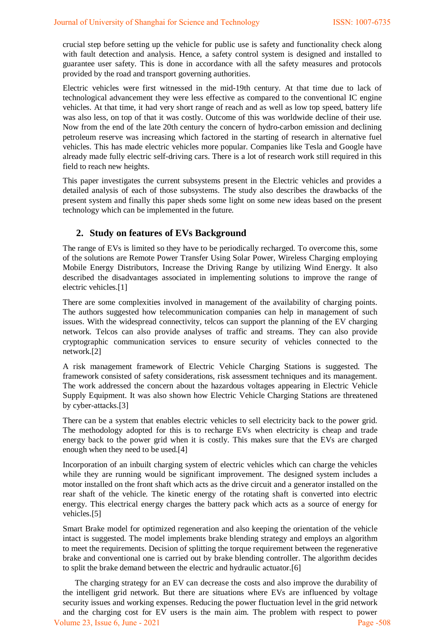crucial step before setting up the vehicle for public use is safety and functionality check along with fault detection and analysis. Hence, a safety control system is designed and installed to guarantee user safety. This is done in accordance with all the safety measures and protocols provided by the road and transport governing authorities.

Electric vehicles were first witnessed in the mid-19th century. At that time due to lack of technological advancement they were less effective as compared to the conventional IC engine vehicles. At that time, it had very short range of reach and as well as low top speed, battery life was also less, on top of that it was costly. Outcome of this was worldwide decline of their use. Now from the end of the late 20th century the concern of hydro-carbon emission and declining petroleum reserve was increasing which factored in the starting of research in alternative fuel vehicles. This has made electric vehicles more popular. Companies like Tesla and Google have already made fully electric self-driving cars. There is a lot of research work still required in this field to reach new heights.

This paper investigates the current subsystems present in the Electric vehicles and provides a detailed analysis of each of those subsystems. The study also describes the drawbacks of the present system and finally this paper sheds some light on some new ideas based on the present technology which can be implemented in the future.

### **2. Study on features of EVs Background**

The range of EVs is limited so they have to be periodically recharged. To overcome this, some of the solutions are Remote Power Transfer Using Solar Power, Wireless Charging employing Mobile Energy Distributors, Increase the Driving Range by utilizing Wind Energy. It also described the disadvantages associated in implementing solutions to improve the range of electric vehicles.[1]

There are some complexities involved in management of the availability of charging points. The authors suggested how telecommunication companies can help in management of such issues. With the widespread connectivity, telcos can support the planning of the EV charging network. Telcos can also provide analyses of traffic and streams. They can also provide cryptographic communication services to ensure security of vehicles connected to the network.[2]

A risk management framework of Electric Vehicle Charging Stations is suggested. The framework consisted of safety considerations, risk assessment techniques and its management. The work addressed the concern about the hazardous voltages appearing in Electric Vehicle Supply Equipment. It was also shown how Electric Vehicle Charging Stations are threatened by cyber-attacks.[3]

There can be a system that enables electric vehicles to sell electricity back to the power grid. The methodology adopted for this is to recharge EVs when electricity is cheap and trade energy back to the power grid when it is costly. This makes sure that the EVs are charged enough when they need to be used.[4]

Incorporation of an inbuilt charging system of electric vehicles which can charge the vehicles while they are running would be significant improvement. The designed system includes a motor installed on the front shaft which acts as the drive circuit and a generator installed on the rear shaft of the vehicle. The kinetic energy of the rotating shaft is converted into electric energy. This electrical energy charges the battery pack which acts as a source of energy for vehicles.[5]

Smart Brake model for optimized regeneration and also keeping the orientation of the vehicle intact is suggested. The model implements brake blending strategy and employs an algorithm to meet the requirements. Decision of splitting the torque requirement between the regenerative brake and conventional one is carried out by brake blending controller. The algorithm decides to split the brake demand between the electric and hydraulic actuator.[6]

 The charging strategy for an EV can decrease the costs and also improve the durability of the intelligent grid network. But there are situations where EVs are influenced by voltage security issues and working expenses. Reducing the power fluctuation level in the grid network and the charging cost for EV users is the main aim. The problem with respect to power Volume 23, Issue 6, June - 2021 **Page -508**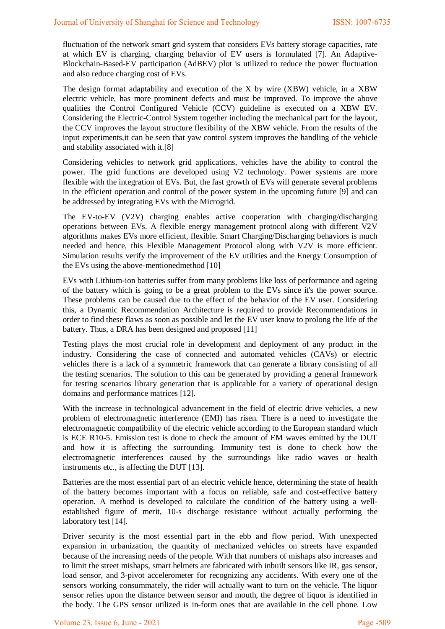fluctuation of the network smart grid system that considers EVs battery storage capacities, rate at which EV is charging, charging behavior of EV users is formulated [7]. An Adaptive-Blockchain-Based-EV participation (AdBEV) plot is utilized to reduce the power fluctuation and also reduce charging cost of EVs.

The design format adaptability and execution of the X by wire (XBW) vehicle, in a XBW electric vehicle, has more prominent defects and must be improved. To improve the above qualities the Control Configured Vehicle (CCV) guideline is executed on a XBW EV. Considering the Electric-Control System together including the mechanical part for the layout, the CCV improves the layout structure flexibility of the XBW vehicle. From the results of the input experiments,it can be seen that yaw control system improves the handling of the vehicle and stability associated with it.[8]

Considering vehicles to network grid applications, vehicles have the ability to control the power. The grid functions are developed using V2 technology. Power systems are more flexible with the integration of EVs. But, the fast growth of EVs will generate several problems in the efficient operation and control of the power system in the upcoming future [9] and can be addressed by integrating EVs with the Microgrid.

The EV-to-EV (V2V) charging enables active cooperation with charging/discharging operations between EVs. A flexible energy management protocol along with different V2V algorithms makes EVs more efficient, flexible. Smart Charging/Discharging behaviors is much needed and hence, this Flexible Management Protocol along with V2V is more efficient. Simulation results verify the improvement of the EV utilities and the Energy Consumption of the EVs using the above-mentionedmethod [10]

EVs with Lithium-ion batteries suffer from many problems like loss of performance and ageing of the battery which is going to be a great problem to the EVs since it's the power source. These problems can be caused due to the effect of the behavior of the EV user. Considering this, a Dynamic Recommendation Architecture is required to provide Recommendations in order to find these flaws as soon as possible and let the EV user know to prolong the life of the battery. Thus, a DRA has been designed and proposed [11]

Testing plays the most crucial role in development and deployment of any product in the industry. Considering the case of connected and automated vehicles (CAVs) or electric vehicles there is a lack of a symmetric framework that can generate a library consisting of all the testing scenarios. The solution to this can be generated by providing a general framework for testing scenarios library generation that is applicable for a variety of operational design domains and performance matrices [12].

With the increase in technological advancement in the field of electric drive vehicles, a new problem of electromagnetic interference (EMI) has risen. There is a need to investigate the electromagnetic compatibility of the electric vehicle according to the European standard which is ECE R10-5. Emission test is done to check the amount of EM waves emitted by the DUT and how it is affecting the surrounding. Immunity test is done to check how the electromagnetic interferences caused by the surroundings like radio waves or health instruments etc., is affecting the DUT [13].

Batteries are the most essential part of an electric vehicle hence, determining the state of health of the battery becomes important with a focus on reliable, safe and cost-effective battery operation. A method is developed to calculate the condition of the battery using a wellestablished figure of merit, 10-s discharge resistance without actually performing the laboratory test [14].

Driver security is the most essential part in the ebb and flow period. With unexpected expansion in urbanization, the quantity of mechanized vehicles on streets have expanded because of the increasing needs of the people. With that numbers of mishaps also increases and to limit the street mishaps, smart helmets are fabricated with inbuilt sensors like IR, gas sensor, load sensor, and 3-pivot accelerometer for recognizing any accidents. With every one of the sensors working consummately, the rider will actually want to turn on the vehicle. The liquor sensor relies upon the distance between sensor and mouth, the degree of liquor is identified in the body. The GPS sensor utilized is in-form ones that are available in the cell phone. Low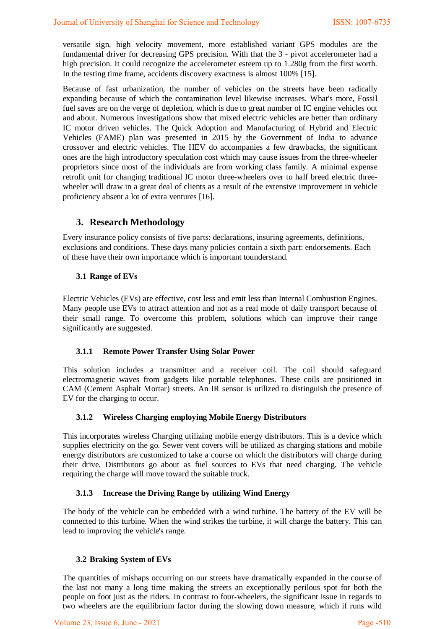versatile sign, high velocity movement, more established variant GPS modules are the fundamental driver for decreasing GPS precision. With that the 3 - pivot accelerometer had a high precision. It could recognize the accelerometer esteem up to 1.280g from the first worth. In the testing time frame, accidents discovery exactness is almost 100% [15].

Because of fast urbanization, the number of vehicles on the streets have been radically expanding because of which the contamination level likewise increases. What's more, Fossil fuel saves are on the verge of depletion, which is due to great number of IC engine vehicles out and about. Numerous investigations show that mixed electric vehicles are better than ordinary IC motor driven vehicles. The Quick Adoption and Manufacturing of Hybrid and Electric Vehicles (FAME) plan was presented in 2015 by the Government of India to advance crossover and electric vehicles. The HEV do accompanies a few drawbacks, the significant ones are the high introductory speculation cost which may cause issues from the three-wheeler proprietors since most of the individuals are from working class family. A minimal expense retrofit unit for changing traditional IC motor three-wheelers over to half breed electric threewheeler will draw in a great deal of clients as a result of the extensive improvement in vehicle proficiency absent a lot of extra ventures [16].

## **3. Research Methodology**

Every insurance policy consists of five parts: declarations, insuring agreements, definitions, exclusions and conditions. These days many policies contain a sixth part: endorsements. Each of these have their own importance which is important tounderstand.

#### **3.1 Range of EVs**

Electric Vehicles (EVs) are effective, cost less and emit less than Internal Combustion Engines. Many people use EVs to attract attention and not as a real mode of daily transport because of their small range. To overcome this problem, solutions which can improve their range significantly are suggested.

#### **3.1.1 Remote Power Transfer Using Solar Power**

This solution includes a transmitter and a receiver coil. The coil should safeguard electromagnetic waves from gadgets like portable telephones. These coils are positioned in CAM (Cement Asphalt Mortar) streets. An IR sensor is utilized to distinguish the presence of EV for the charging to occur.

#### **3.1.2 Wireless Charging employing Mobile Energy Distributors**

This incorporates wireless Charging utilizing mobile energy distributors. This is a device which supplies electricity on the go. Sewer vent covers will be utilized as charging stations and mobile energy distributors are customized to take a course on which the distributors will charge during their drive. Distributors go about as fuel sources to EVs that need charging. The vehicle requiring the charge will move toward the suitable truck.

### **3.1.3 Increase the Driving Range by utilizing Wind Energy**

The body of the vehicle can be embedded with a wind turbine. The battery of the EV will be connected to this turbine. When the wind strikes the turbine, it will charge the battery. This can lead to improving the vehicle's range.

#### **3.2 Braking System of EVs**

The quantities of mishaps occurring on our streets have dramatically expanded in the course of the last not many a long time making the streets an exceptionally perilous spot for both the people on foot just as the riders. In contrast to four-wheelers, the significant issue in regards to two wheelers are the equilibrium factor during the slowing down measure, which if runs wild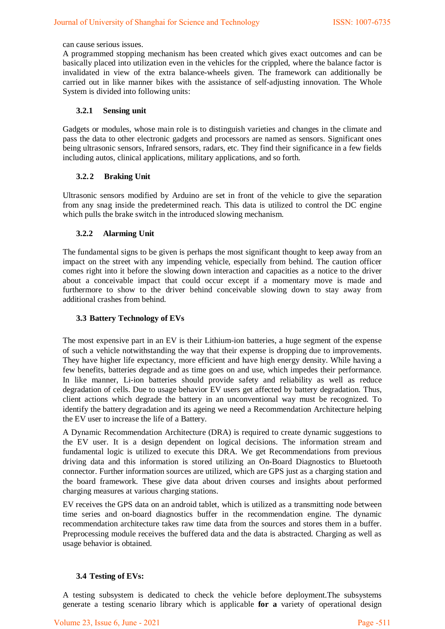can cause serious issues.

A programmed stopping mechanism has been created which gives exact outcomes and can be basically placed into utilization even in the vehicles for the crippled, where the balance factor is invalidated in view of the extra balance-wheels given. The framework can additionally be carried out in like manner bikes with the assistance of self-adjusting innovation. The Whole System is divided into following units:

#### **3.2.1 Sensing unit**

Gadgets or modules, whose main role is to distinguish varieties and changes in the climate and pass the data to other electronic gadgets and processors are named as sensors. Significant ones being ultrasonic sensors, Infrared sensors, radars, etc. They find their significance in a few fields including autos, clinical applications, military applications, and so forth.

#### **3.2.2 Braking Unit**

Ultrasonic sensors modified by Arduino are set in front of the vehicle to give the separation from any snag inside the predetermined reach. This data is utilized to control the DC engine which pulls the brake switch in the introduced slowing mechanism.

#### **3.2.2 Alarming Unit**

The fundamental signs to be given is perhaps the most significant thought to keep away from an impact on the street with any impending vehicle, especially from behind. The caution officer comes right into it before the slowing down interaction and capacities as a notice to the driver about a conceivable impact that could occur except if a momentary move is made and furthermore to show to the driver behind conceivable slowing down to stay away from additional crashes from behind.

#### **3.3 Battery Technology of EVs**

The most expensive part in an EV is their Lithium-ion batteries, a huge segment of the expense of such a vehicle notwithstanding the way that their expense is dropping due to improvements. They have higher life expectancy, more efficient and have high energy density. While having a few benefits, batteries degrade and as time goes on and use, which impedes their performance. In like manner, Li-ion batteries should provide safety and reliability as well as reduce degradation of cells. Due to usage behavior EV users get affected by battery degradation. Thus, client actions which degrade the battery in an unconventional way must be recognized. To identify the battery degradation and its ageing we need a Recommendation Architecture helping the EV user to increase the life of a Battery.

A Dynamic Recommendation Architecture (DRA) is required to create dynamic suggestions to the EV user. It is a design dependent on logical decisions. The information stream and fundamental logic is utilized to execute this DRA. We get Recommendations from previous driving data and this information is stored utilizing an On-Board Diagnostics to Bluetooth connector. Further information sources are utilized, which are GPS just as a charging station and the board framework. These give data about driven courses and insights about performed charging measures at various charging stations.

EV receives the GPS data on an android tablet, which is utilized as a transmitting node between time series and on-board diagnostics buffer in the recommendation engine. The dynamic recommendation architecture takes raw time data from the sources and stores them in a buffer. Preprocessing module receives the buffered data and the data is abstracted. Charging as well as usage behavior is obtained.

#### **3.4 Testing of EVs:**

A testing subsystem is dedicated to check the vehicle before deployment.The subsystems generate a testing scenario library which is applicable **for a** variety of operational design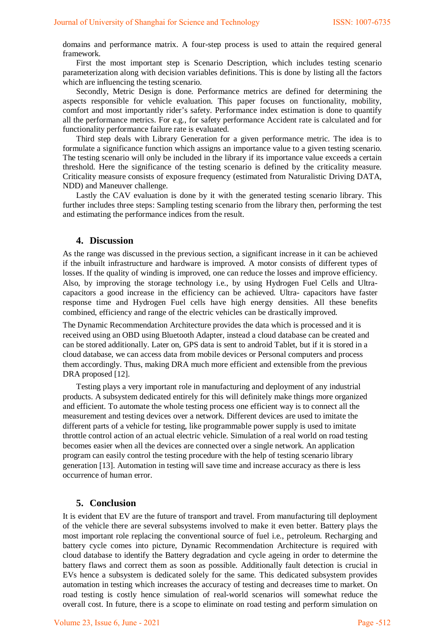domains and performance matrix. A four-step process is used to attain the required general framework.

First the most important step is Scenario Description, which includes testing scenario parameterization along with decision variables definitions. This is done by listing all the factors which are influencing the testing scenario.

Secondly, Metric Design is done. Performance metrics are defined for determining the aspects responsible for vehicle evaluation. This paper focuses on functionality, mobility, comfort and most importantly rider's safety. Performance index estimation is done to quantify all the performance metrics. For e.g., for safety performance Accident rate is calculated and for functionality performance failure rate is evaluated.

Third step deals with Library Generation for a given performance metric. The idea is to formulate a significance function which assigns an importance value to a given testing scenario. The testing scenario will only be included in the library if its importance value exceeds a certain threshold. Here the significance of the testing scenario is defined by the criticality measure. Criticality measure consists of exposure frequency (estimated from Naturalistic Driving DATA, NDD) and Maneuver challenge.

Lastly the CAV evaluation is done by it with the generated testing scenario library. This further includes three steps: Sampling testing scenario from the library then, performing the test and estimating the performance indices from the result.

#### **4. Discussion**

As the range was discussed in the previous section, a significant increase in it can be achieved if the inbuilt infrastructure and hardware is improved. A motor consists of different types of losses. If the quality of winding is improved, one can reduce the losses and improve efficiency. Also, by improving the storage technology i.e., by using Hydrogen Fuel Cells and Ultracapacitors a good increase in the efficiency can be achieved. Ultra- capacitors have faster response time and Hydrogen Fuel cells have high energy densities. All these benefits combined, efficiency and range of the electric vehicles can be drastically improved.

The Dynamic Recommendation Architecture provides the data which is processed and it is received using an OBD using Bluetooth Adapter, instead a cloud database can be created and can be stored additionally. Later on, GPS data is sent to android Tablet, but if it is stored in a cloud database, we can access data from mobile devices or Personal computers and process them accordingly. Thus, making DRA much more efficient and extensible from the previous DRA proposed [12].

Testing plays a very important role in manufacturing and deployment of any industrial products. A subsystem dedicated entirely for this will definitely make things more organized and efficient. To automate the whole testing process one efficient way is to connect all the measurement and testing devices over a network. Different devices are used to imitate the different parts of a vehicle for testing, like programmable power supply is used to imitate throttle control action of an actual electric vehicle. Simulation of a real world on road testing becomes easier when all the devices are connected over a single network. An application program can easily control the testing procedure with the help of testing scenario library generation [13]. Automation in testing will save time and increase accuracy as there is less occurrence of human error.

#### **5. Conclusion**

It is evident that EV are the future of transport and travel. From manufacturing till deployment of the vehicle there are several subsystems involved to make it even better. Battery plays the most important role replacing the conventional source of fuel i.e., petroleum. Recharging and battery cycle comes into picture, Dynamic Recommendation Architecture is required with cloud database to identify the Battery degradation and cycle ageing in order to determine the battery flaws and correct them as soon as possible. Additionally fault detection is crucial in EVs hence a subsystem is dedicated solely for the same. This dedicated subsystem provides automation in testing which increases the accuracy of testing and decreases time to market. On road testing is costly hence simulation of real-world scenarios will somewhat reduce the overall cost. In future, there is a scope to eliminate on road testing and perform simulation on